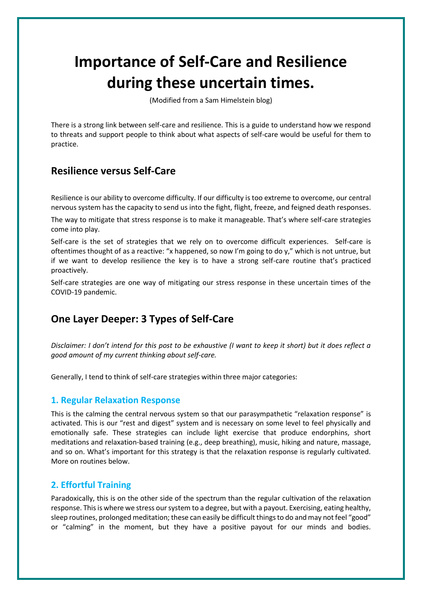# **Importance of Self-Care and Resilience during these uncertain times.**

(Modified from a Sam Himelstein blog)

There is a strong link between self-care and resilience. This is a guide to understand how we respond to threats and support people to think about what aspects of self-care would be useful for them to practice.

# **Resilience versus Self-Care**

Resilience is our ability to overcome difficulty. If our difficulty is too extreme to overcome, our central nervous system has the capacity to send us into the fight, flight, freeze, and feigned death responses.

The way to mitigate that stress response is to make it manageable. That's where self-care strategies come into play.

Self-care is the set of strategies that we rely on to overcome difficult experiences. Self-care is oftentimes thought of as a reactive: "x happened, so now I'm going to do y," which is not untrue, but if we want to develop resilience the key is to have a strong self-care routine that's practiced proactively.

Self-care strategies are one way of mitigating our stress response in these uncertain times of the COVID-19 pandemic.

# **One Layer Deeper: 3 Types of Self-Care**

*Disclaimer: I don't intend for this post to be exhaustive (I want to keep it short) but it does reflect a good amount of my current thinking about self-care.* 

Generally, I tend to think of self-care strategies within three major categories:

### **1. Regular Relaxation Response**

This is the calming the central nervous system so that our parasympathetic "relaxation response" is activated. This is our "rest and digest" system and is necessary on some level to feel physically and emotionally safe. These strategies can include light exercise that produce endorphins, short meditations and relaxation-based training (e.g., deep breathing), music, hiking and nature, massage, and so on. What's important for this strategy is that the relaxation response is regularly cultivated. More on routines below.

## **2. Effortful Training**

Paradoxically, this is on the other side of the spectrum than the regular cultivation of the relaxation response. This is where we stress our system to a degree, but with a payout. Exercising, eating healthy, sleep routines, prolonged meditation; these can easily be difficult things to do and may not feel "good" or "calming" in the moment, but they have a positive payout for our minds and bodies.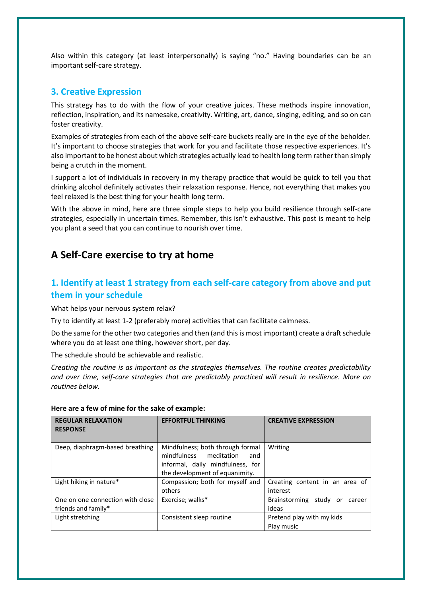Also within this category (at least interpersonally) is saying "no." Having boundaries can be an important self-care strategy.

#### **3. Creative Expression**

This strategy has to do with the flow of your creative juices. These methods inspire innovation, reflection, inspiration, and its namesake, creativity. Writing, art, dance, singing, editing, and so on can foster creativity.

Examples of strategies from each of the above self-care buckets really are in the eye of the beholder. It's important to choose strategies that work for you and facilitate those respective experiences. It's also important to be honest about which strategies actually lead to health long term rather than simply being a crutch in the moment.

I support a lot of individuals in recovery in my therapy practice that would be quick to tell you that drinking alcohol definitely activates their relaxation response. Hence, not everything that makes you feel relaxed is the best thing for your health long term.

With the above in mind, here are three simple steps to help you build resilience through self-care strategies, especially in uncertain times. Remember, this isn't exhaustive. This post is meant to help you plant a seed that you can continue to nourish over time.

# **A Self-Care exercise to try at home**

# **1. Identify at least 1 strategy from each self-care category from above and put them in your schedule**

What helps your nervous system relax?

Try to identify at least 1-2 (preferably more) activities that can facilitate calmness.

Do the same for the other two categories and then (and this is most important) create a draft schedule where you do at least one thing, however short, per day.

The schedule should be achievable and realistic.

*Creating the routine is as important as the strategies themselves. The routine creates predictability and over time, self-care strategies that are predictably practiced will result in resilience. More on routines below.*

| <b>REGULAR RELAXATION</b><br><b>RESPONSE</b>            | <b>EFFORTFUL THINKING</b>                                                                                                                  | <b>CREATIVE EXPRESSION</b>                   |
|---------------------------------------------------------|--------------------------------------------------------------------------------------------------------------------------------------------|----------------------------------------------|
| Deep, diaphragm-based breathing                         | Mindfulness; both through formal<br>mindfulness<br>meditation<br>and<br>informal, daily mindfulness, for<br>the development of equanimity. | Writing                                      |
| Light hiking in nature*                                 | Compassion; both for myself and<br>others                                                                                                  | Creating content in an area of<br>interest   |
| One on one connection with close<br>friends and family* | Exercise; walks*                                                                                                                           | Brainstorming<br>study or<br>career<br>ideas |
| Light stretching                                        | Consistent sleep routine                                                                                                                   | Pretend play with my kids                    |
|                                                         |                                                                                                                                            | Play music                                   |

#### **Here are a few of mine for the sake of example:**